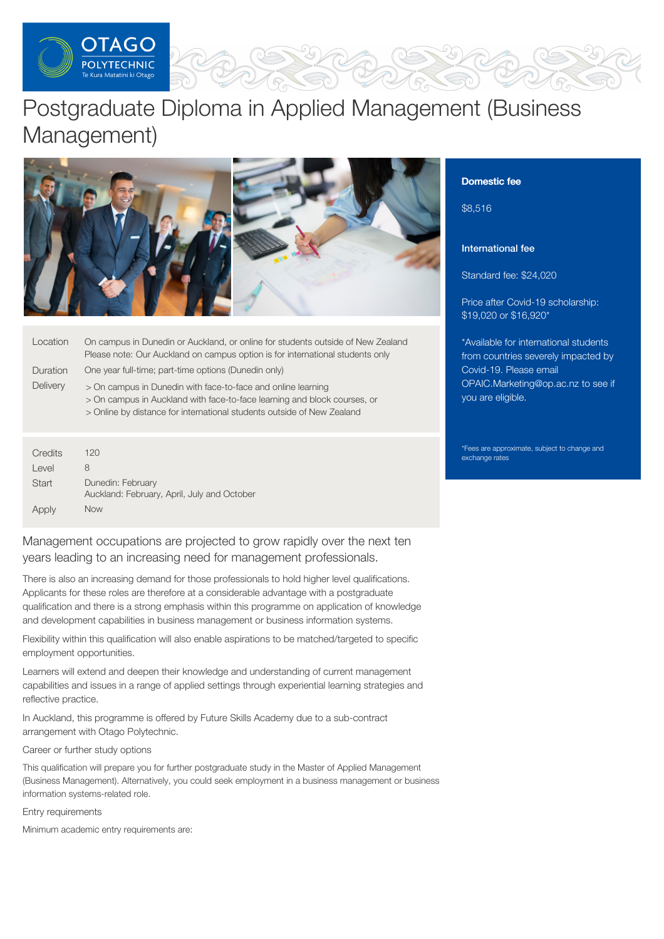

# Postgraduate Diploma in Applied Management (Business Management)





| Location | On campus in Dunedin or Auckland, or online for students outside of New Zealand<br>Please note: Our Auckland on campus option is for international students only                                                   |
|----------|--------------------------------------------------------------------------------------------------------------------------------------------------------------------------------------------------------------------|
| Duration | One year full-time; part-time options (Dunedin only)                                                                                                                                                               |
| Delivery | > On campus in Dunedin with face-to-face and online learning<br>> On campus in Auckland with face-to-face learning and block courses, or<br>> Online by distance for international students outside of New Zealand |
|          |                                                                                                                                                                                                                    |

| Credits | 120                                                              |
|---------|------------------------------------------------------------------|
| Level   | 8                                                                |
| Start   | Dunedin: February<br>Auckland: February, April, July and October |
| Apply   | <b>Now</b>                                                       |

Management occupations are projected to grow rapidly over the next ten years leading to an increasing need for management professionals.

There is also an increasing demand for those professionals to hold higher level qualifications. Applicants for these roles are therefore at a considerable advantage with a postgraduate qualification and there is a strong emphasis within this programme on application of knowledge and development capabilities in business management or business information systems.

Flexibility within this qualification will also enable aspirations to be matched/targeted to specific employment opportunities.

Learners will extend and deepen their knowledge and understanding of current management capabilities and issues in a range of applied settings through experiential learning strategies and reflective practice.

In Auckland, this programme is offered by Future Skills Academy due to a sub-contract arrangement with Otago Polytechnic.

Career or further study options

This qualification will prepare you for further postgraduate study in the Master of Applied Management (Business Management). Alternatively, you could seek employment in a business management or business information systems-related role.

Entry requirements

Minimum academic entry requirements are:

# Domestic fee

\$8,516

# International fee

Standard fee: \$24,020

Price after Covid-19 scholarship: \$19,020 or \$16,920\*

\*Available for international students from countries severely impacted by Covid-19. Please email [OPAIC.Marketing@op.ac.nz](mailto:OPAIC.Marketing@op.ac.nz?subject=Covid-19%20scholarship) to see if you are eligible.

\*Fees are approximate, subject to change and exchange rates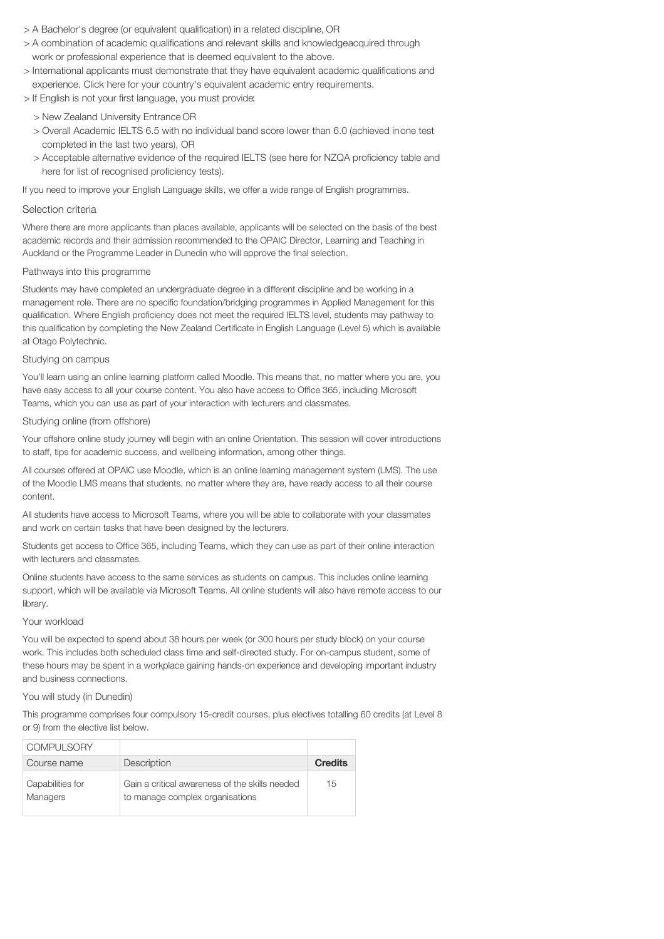- > A Bachelor's degree (or equivalent qualification) in a related discipline, OR
- > A combination of academic qualifications and relevant skills and knowledgeacquired through work or professional experience that is deemed equivalent to the above.
- > International applicants must demonstrate that they have equivalent academic qualifications and experience. Click here for your country's equivalent academic entry requirements.
- > If English is not your first language, you must provide:
	- > New Zealand University Entrance OR
	- > Overall Academic IELTS 6.5 with no individual band score lower than 6.0 (achieved inone test completed in the last two years), OR
	- > Acceptable alternative evidence of the required IELTS (see here for NZQA proficiency table and here for list of recognised proficiency tests).

If you need to improve your English Language skills, we offer a wide range of English programmes.

#### Selection criteria

Where there are more applicants than places available, applicants will be selected on the basis of the best academic records and their admission recommended to the OPAIC Director, Learning and Teaching in Auckland or the Programme Leader in Dunedin who will approve the final selection.

### Pathways into this programme

Students may have completed an undergraduate degree in a different discipline and be working in a management role. There are no specific foundation/bridging programmes in Applied Management for this qualification. Where English proficiency does not meet the required IELTS level, students may pathway to this qualification by completing the New Zealand Certificate in English Language (Level 5) which is available at Otago Polytechnic.

### Studying on campus

You'll learn using an online learning platform called Moodle. This means that, no matter where you are, you have easy access to all your course content. You also have access to Office 365, including Microsoft Teams, which you can use as part of your interaction with lecturers and classmates.

### Studying online (from offshore)

Your offshore online study journey will begin with an online Orientation. This session will cover introductions to staff, tips for academic success, and wellbeing information, among other things.

All courses offered at OPAIC use Moodle, which is an online learning management system (LMS). The use of the Moodle LMS means that students, no matter where they are, have ready access to all their course content.

All students have access to Microsoft Teams, where you will be able to collaborate with your classmates and work on certain tasks that have been designed by the lecturers.

Students get access to Office 365, including Teams, which they can use as part of their online interaction with lecturers and classmates.

Online students have access to the same services as students on campus. This includes online learning support, which will be available via Microsoft Teams. All online students will also have remote access to our library.

#### Your workload

You will be expected to spend about 38 hours per week (or 300 hours per study block) on your course work. This includes both scheduled class time and self-directed study. For on-campus student, some of these hours may be spent in a workplace gaining hands-on experience and developing important industry and business connections.

## You will study (in Dunedin)

This programme comprises four compulsory 15-credit courses, plus electives totalling 60 credits (at Level 8 or 9) from the elective list below.

| <b>COMPULSORY</b>            |                                                                                   |                |
|------------------------------|-----------------------------------------------------------------------------------|----------------|
| Course name                  | Description                                                                       | <b>Credits</b> |
| Capabilities for<br>Managers | Gain a critical awareness of the skills needed<br>to manage complex organisations | 15             |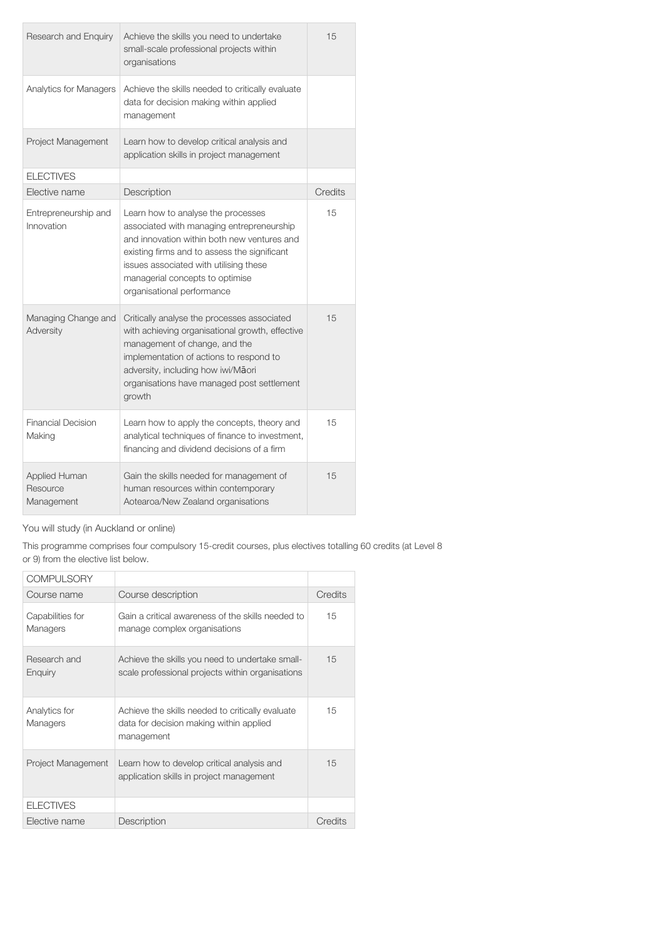| Research and Enquiry                           | Achieve the skills you need to undertake<br>small-scale professional projects within<br>organisations                                                                                                                                                                                     | 15      |
|------------------------------------------------|-------------------------------------------------------------------------------------------------------------------------------------------------------------------------------------------------------------------------------------------------------------------------------------------|---------|
| Analytics for Managers                         | Achieve the skills needed to critically evaluate<br>data for decision making within applied<br>management                                                                                                                                                                                 |         |
| Project Management                             | Learn how to develop critical analysis and<br>application skills in project management                                                                                                                                                                                                    |         |
| <b>ELECTIVES</b>                               |                                                                                                                                                                                                                                                                                           |         |
| Elective name                                  | Description                                                                                                                                                                                                                                                                               | Credits |
| Entrepreneurship and<br>Innovation             | Learn how to analyse the processes<br>associated with managing entrepreneurship<br>and innovation within both new ventures and<br>existing firms and to assess the significant<br>issues associated with utilising these<br>managerial concepts to optimise<br>organisational performance | 15      |
| Managing Change and<br>Adversity               | Critically analyse the processes associated<br>with achieving organisational growth, effective<br>management of change, and the<br>implementation of actions to respond to<br>adversity, including how iwi/Māori<br>organisations have managed post settlement<br>growth                  | 15      |
| <b>Financial Decision</b><br>Making            | Learn how to apply the concepts, theory and<br>analytical techniques of finance to investment,<br>financing and dividend decisions of a firm                                                                                                                                              | 15      |
| <b>Applied Human</b><br>Resource<br>Management | Gain the skills needed for management of<br>human resources within contemporary<br>Aotearoa/New Zealand organisations                                                                                                                                                                     | 15      |

You will study (in Auckland or online)

This programme comprises four compulsory 15-credit courses, plus electives totalling 60 credits (at Level 8 or 9) from the elective list below.

| <b>COMPULSORY</b>            |                                                                                                           |         |
|------------------------------|-----------------------------------------------------------------------------------------------------------|---------|
| Course name                  | Course description                                                                                        | Credits |
| Capabilities for<br>Managers | Gain a critical awareness of the skills needed to<br>manage complex organisations                         | 15      |
| Research and<br>Enguiry      | Achieve the skills you need to undertake small-<br>scale professional projects within organisations       | 15      |
| Analytics for<br>Managers    | Achieve the skills needed to critically evaluate<br>data for decision making within applied<br>management | 15      |
| Project Management           | Learn how to develop critical analysis and<br>application skills in project management                    | 15      |
| <b>ELECTIVES</b>             |                                                                                                           |         |
| Elective name                | Description                                                                                               | Credits |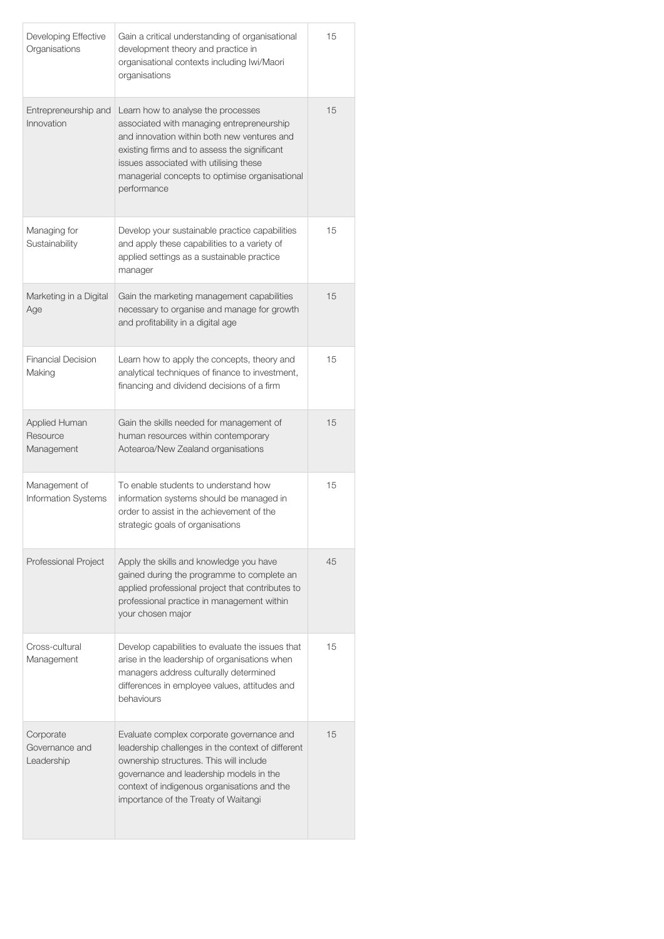| Developing Effective<br>Organisations          | Gain a critical understanding of organisational<br>development theory and practice in<br>organisational contexts including lwi/Maori<br>organisations                                                                                                                                     | 15 |
|------------------------------------------------|-------------------------------------------------------------------------------------------------------------------------------------------------------------------------------------------------------------------------------------------------------------------------------------------|----|
| Entrepreneurship and<br>Innovation             | Learn how to analyse the processes<br>associated with managing entrepreneurship<br>and innovation within both new ventures and<br>existing firms and to assess the significant<br>issues associated with utilising these<br>managerial concepts to optimise organisational<br>performance | 15 |
| Managing for<br>Sustainability                 | Develop your sustainable practice capabilities<br>and apply these capabilities to a variety of<br>applied settings as a sustainable practice<br>manager                                                                                                                                   | 15 |
| Marketing in a Digital<br>Age                  | Gain the marketing management capabilities<br>necessary to organise and manage for growth<br>and profitability in a digital age                                                                                                                                                           | 15 |
| <b>Financial Decision</b><br>Making            | Learn how to apply the concepts, theory and<br>analytical techniques of finance to investment,<br>financing and dividend decisions of a firm                                                                                                                                              | 15 |
| <b>Applied Human</b><br>Resource<br>Management | Gain the skills needed for management of<br>human resources within contemporary<br>Aotearoa/New Zealand organisations                                                                                                                                                                     | 15 |
| Management of<br>Information Systems           | To enable students to understand how<br>information systems should be managed in<br>order to assist in the achievement of the<br>strategic goals of organisations                                                                                                                         | 15 |
| Professional Project                           | Apply the skills and knowledge you have<br>gained during the programme to complete an<br>applied professional project that contributes to<br>professional practice in management within<br>your chosen major                                                                              | 45 |
| Cross-cultural<br>Management                   | Develop capabilities to evaluate the issues that<br>arise in the leadership of organisations when<br>managers address culturally determined<br>differences in employee values, attitudes and<br>behaviours                                                                                | 15 |
| Corporate<br>Governance and<br>Leadership      | Evaluate complex corporate governance and<br>leadership challenges in the context of different<br>ownership structures. This will include<br>governance and leadership models in the<br>context of indigenous organisations and the<br>importance of the Treaty of Waitangi               | 15 |